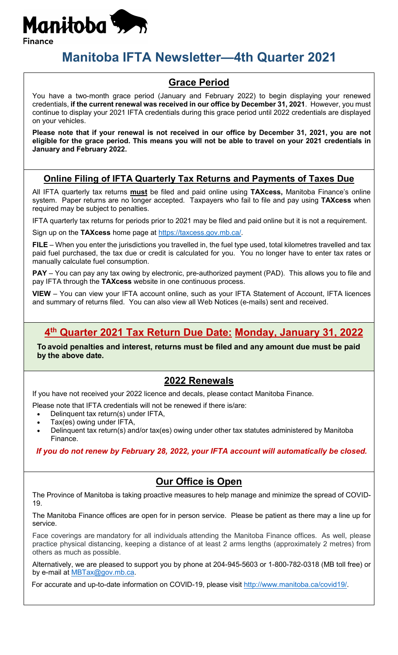

# **Manitoba IFTA Newsletter—4th Quarter 2021**

### **Grace Period**

You have a two-month grace period (January and February 2022) to begin displaying your renewed credentials, **if the current renewal was received in our office by December 31, 2021**. However, you must continue to display your 2021 IFTA credentials during this grace period until 2022 credentials are displayed on your vehicles.

**Please note that if your renewal is not received in our office by December 31, 2021, you are not eligible for the grace period. This means you will not be able to travel on your 2021 credentials in January and February 2022.**

### **Online Filing of IFTA Quarterly Tax Returns and Payments of Taxes Due**

All IFTA quarterly tax returns **must** be filed and paid online using **TAXcess,** Manitoba Finance's online system. Paper returns are no longer accepted. Taxpayers who fail to file and pay using **TAXcess** when required may be subject to penalties.

IFTA quarterly tax returns for periods prior to 2021 may be filed and paid online but it is not a requirement.

Sign up on the **TAXcess** home page at [https://taxcess.gov.mb.ca/.](https://taxcess.gov.mb.ca/)

**FILE** – When you enter the jurisdictions you travelled in, the fuel type used, total kilometres travelled and tax paid fuel purchased, the tax due or credit is calculated for you. You no longer have to enter tax rates or manually calculate fuel consumption.

**PAY** – You can pay any tax owing by electronic, pre-authorized payment (PAD). This allows you to file and pay IFTA through the **TAXcess** website in one continuous process.

**VIEW** – You can view your IFTA account online, such as your IFTA Statement of Account, IFTA licences and summary of returns filed. You can also view all Web Notices (e-mails) sent and received.

### **4th Quarter 2021 Tax Return Due Date: Monday, January 31, 2022**

**To avoid penalties and interest, returns must be filed and any amount due must be paid by the above date.**

### **2022 Renewals**

If you have not received your 2022 licence and decals, please contact Manitoba Finance.

- Please note that IFTA credentials will not be renewed if there is/are:
	- Delinquent tax return(s) under IFTA,
	- Tax(es) owing under IFTA,
	- Delinquent tax return(s) and/or tax(es) owing under other tax statutes administered by Manitoba Finance.

*If you do not renew by February 28, 2022, your IFTA account will automatically be closed.*

### **Our Office is Open**

The Province of Manitoba is taking proactive measures to help manage and minimize the spread of COVID-19.

The Manitoba Finance offices are open for in person service. Please be patient as there may a line up for service.

Face coverings are mandatory for all individuals attending the Manitoba Finance offices. As well, please practice physical distancing, keeping a distance of at least 2 arms lengths (approximately 2 metres) from others as much as possible.

Alternatively, we are pleased to support you by phone at 204-945-5603 or 1-800-782-0318 (MB toll free) or by e-mail at [MBTax@gov.mb.ca.](mailto:MBTax@gov.mb.ca)

For accurate and up-to-date information on COVID-19, please visit [http://www.manitoba.ca/covid19/.](http://www.manitoba.ca/covid19/)